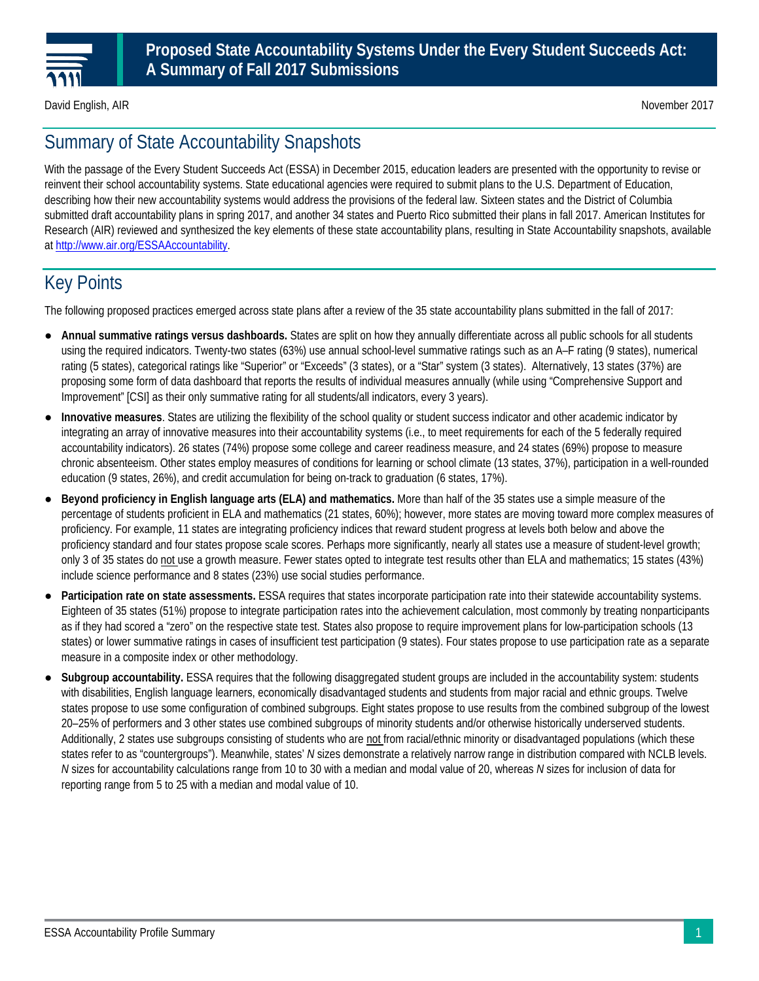

David English, AIR November 2017

#### Summary of State Accountability Snapshots

With the passage of the Every Student Succeeds Act (ESSA) in December 2015, education leaders are presented with the opportunity to revise or reinvent their school accountability systems. State educational agencies were required to submit plans to the U.S. Department of Education, describing how their new accountability systems would address the provisions of the federal law. Sixteen states and the District of Columbia submitted draft accountability plans in spring 2017, and another 34 states and Puerto Rico submitted their plans in fall 2017. American Institutes for Research (AIR) reviewed and synthesized the key elements of these state accountability plans, resulting in State Accountability snapshots, available at [http://www.air.org/ESSAAccountability.](http://www.air.org/ESSAAccountability)

### Key Points

The following proposed practices emerged across state plans after a review of the 35 state accountability plans submitted in the fall of 2017:

- **Annual summative ratings versus dashboards.** States are split on how they annually differentiate across all public schools for all students using the required indicators. Twenty-two states (63%) use annual school-level summative ratings such as an A–F rating (9 states), numerical rating (5 states), categorical ratings like "Superior" or "Exceeds" (3 states), or a "Star" system (3 states). Alternatively, 13 states (37%) are proposing some form of data dashboard that reports the results of individual measures annually (while using "Comprehensive Support and Improvement" [CSI] as their only summative rating for all students/all indicators, every 3 years).
- **Innovative measures**. States are utilizing the flexibility of the school quality or student success indicator and other academic indicator by integrating an array of innovative measures into their accountability systems (i.e., to meet requirements for each of the 5 federally required accountability indicators). 26 states (74%) propose some college and career readiness measure, and 24 states (69%) propose to measure chronic absenteeism. Other states employ measures of conditions for learning or school climate (13 states, 37%), participation in a well-rounded education (9 states, 26%), and credit accumulation for being on-track to graduation (6 states, 17%).
- **Beyond proficiency in English language arts (ELA) and mathematics.** More than half of the 35 states use a simple measure of the percentage of students proficient in ELA and mathematics (21 states, 60%); however, more states are moving toward more complex measures of proficiency. For example, 11 states are integrating proficiency indices that reward student progress at levels both below and above the proficiency standard and four states propose scale scores. Perhaps more significantly, nearly all states use a measure of student-level growth; only 3 of 35 states do not use a growth measure. Fewer states opted to integrate test results other than ELA and mathematics; 15 states (43%) include science performance and 8 states (23%) use social studies performance.
- **Participation rate on state assessments.** ESSA requires that states incorporate participation rate into their statewide accountability systems. Eighteen of 35 states (51%) propose to integrate participation rates into the achievement calculation, most commonly by treating nonparticipants as if they had scored a "zero" on the respective state test. States also propose to require improvement plans for low-participation schools (13 states) or lower summative ratings in cases of insufficient test participation (9 states). Four states propose to use participation rate as a separate measure in a composite index or other methodology.
- Subgroup accountability. ESSA requires that the following disaggregated student groups are included in the accountability system: students with disabilities, English language learners, economically disadvantaged students and students from major racial and ethnic groups. Twelve states propose to use some configuration of combined subgroups. Eight states propose to use results from the combined subgroup of the lowest 20–25% of performers and 3 other states use combined subgroups of minority students and/or otherwise historically underserved students. Additionally, 2 states use subgroups consisting of students who are not from racial/ethnic minority or disadvantaged populations (which these states refer to as "countergroups"). Meanwhile, states' *N* sizes demonstrate a relatively narrow range in distribution compared with NCLB levels. *N* sizes for accountability calculations range from 10 to 30 with a median and modal value of 20, whereas *N* sizes for inclusion of data for reporting range from 5 to 25 with a median and modal value of 10.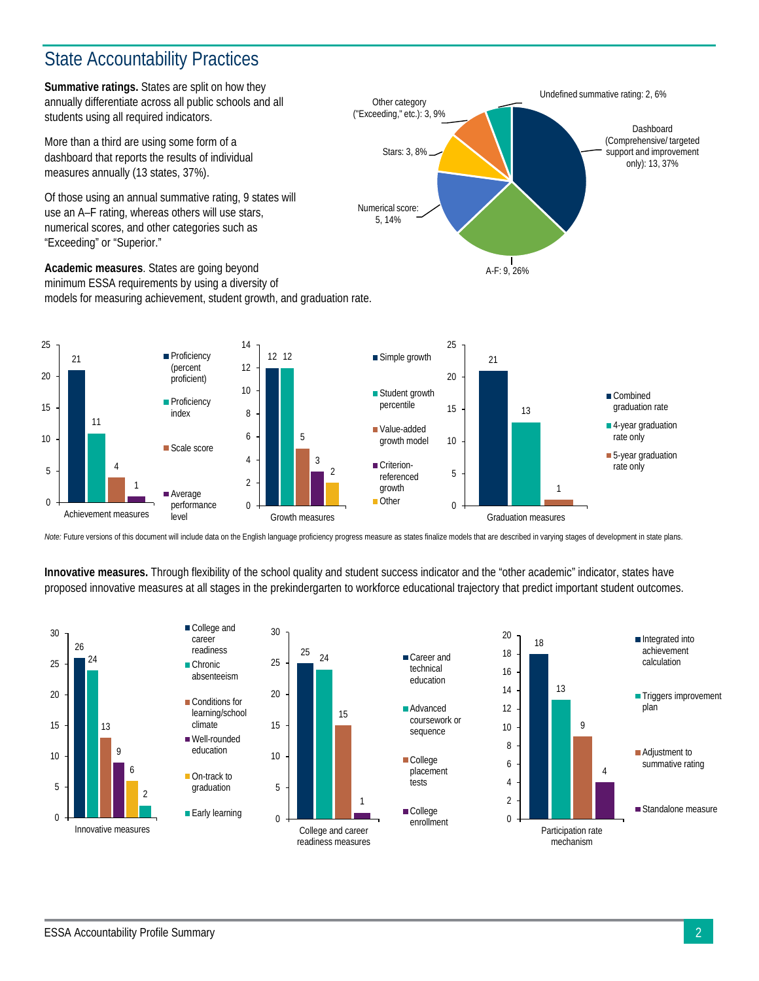#### State Accountability Practices

**Summative ratings.** States are split on how they annually differentiate across all public schools and all students using all required indicators.

More than a third are using some form of a dashboard that reports the results of individual measures annually (13 states, 37%).

Of those using an annual summative rating, 9 states will use an A–F rating, whereas others will use stars, numerical scores, and other categories such as "Exceeding" or "Superior."

**Academic measures**. States are going beyond minimum ESSA requirements by using a diversity of models for measuring achievement, student growth, and graduation rate. 5, 14%



Numerical score:

Stars: 3, 8%

Other category ("Exceeding," etc.): 3, 9%

Note: Future versions of this document will include data on the English language proficiency progress measure as states finalize models that are described in varying stages of development in state plans.

**Innovative measures.** Through flexibility of the school quality and student success indicator and the "other academic" indicator, states have proposed innovative measures at all stages in the prekindergarten to workforce educational trajectory that predict important student outcomes.



Dashboard (Comprehensive/ targeted support and improvement only): 13, 37%

Undefined summative rating: 2, 6%

A-F: 9, 26%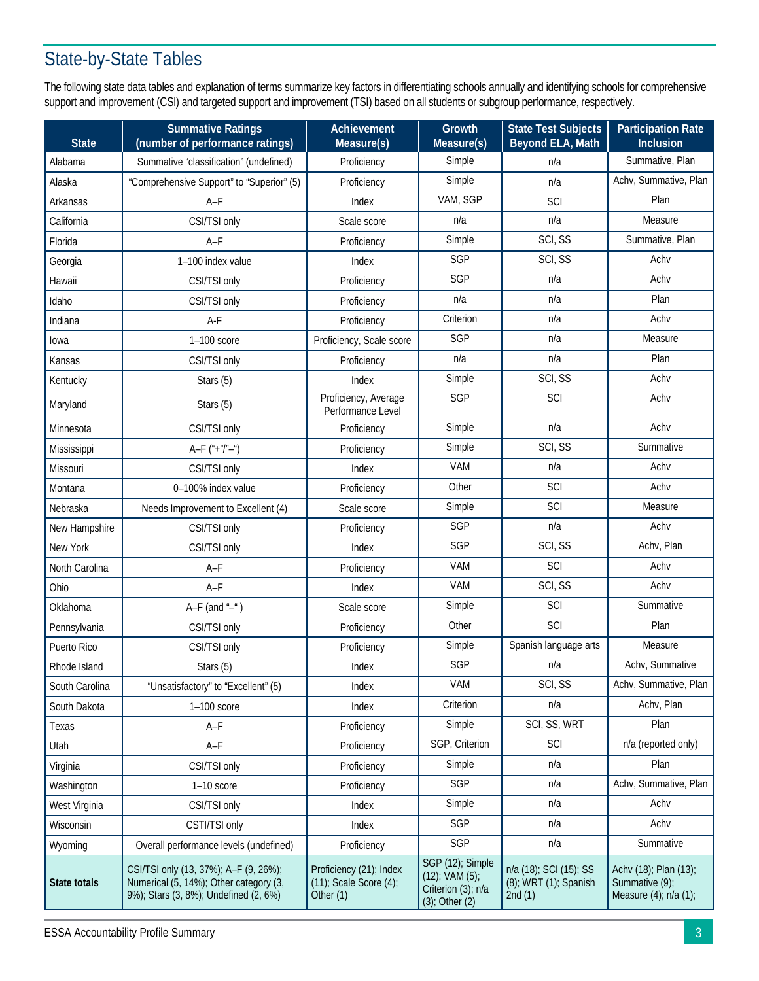### State-by-State Tables

The following state data tables and explanation of terms summarize key factors in differentiating schools annually and identifying schools for comprehensive support and improvement (CSI) and targeted support and improvement (TSI) based on all students or subgroup performance, respectively.

| <b>State</b>   | <b>Summative Ratings</b><br>(number of performance ratings)                                                              | Achievement<br>Measure(s)                                            | Growth<br>Measure(s)                                                                  | <b>State Test Subjects</b><br>Beyond ELA, Math            | <b>Participation Rate</b><br><b>Inclusion</b>                    |
|----------------|--------------------------------------------------------------------------------------------------------------------------|----------------------------------------------------------------------|---------------------------------------------------------------------------------------|-----------------------------------------------------------|------------------------------------------------------------------|
| Alabama        | Summative "classification" (undefined)                                                                                   | Proficiency                                                          | Simple                                                                                | n/a                                                       | Summative, Plan                                                  |
| Alaska         | "Comprehensive Support" to "Superior" (5)                                                                                | Proficiency                                                          | Simple                                                                                | n/a                                                       | Achv, Summative, Plan                                            |
| Arkansas       | $A-F$                                                                                                                    | Index                                                                | VAM, SGP                                                                              | SCI                                                       | Plan                                                             |
| California     | CSI/TSI only                                                                                                             | Scale score                                                          | n/a                                                                                   | n/a                                                       | Measure                                                          |
| Florida        | $A-F$                                                                                                                    | Proficiency                                                          | Simple                                                                                | SCI, SS                                                   | Summative, Plan                                                  |
| Georgia        | 1-100 index value                                                                                                        | Index                                                                | SGP                                                                                   | SCI, SS                                                   | Achv                                                             |
| Hawaii         | CSI/TSI only                                                                                                             | Proficiency                                                          | SGP                                                                                   | n/a                                                       | Achy                                                             |
| Idaho          | CSI/TSI only                                                                                                             | Proficiency                                                          | n/a                                                                                   | n/a                                                       | Plan                                                             |
| Indiana        | A-F                                                                                                                      | Proficiency                                                          | Criterion                                                                             | n/a                                                       | Achv                                                             |
| lowa           | $1-100$ score                                                                                                            | Proficiency, Scale score                                             | SGP                                                                                   | n/a                                                       | Measure                                                          |
| Kansas         | CSI/TSI only                                                                                                             | Proficiency                                                          | n/a                                                                                   | n/a                                                       | Plan                                                             |
| Kentucky       | Stars (5)                                                                                                                | Index                                                                | Simple                                                                                | SCI, SS                                                   | Achv                                                             |
| Maryland       | Stars (5)                                                                                                                | Proficiency, Average<br>Performance Level                            | SGP                                                                                   | SCI                                                       | Achy                                                             |
| Minnesota      | CSI/TSI only                                                                                                             | Proficiency                                                          | Simple                                                                                | n/a                                                       | Achv                                                             |
| Mississippi    | A-F $("+"/" -")$                                                                                                         | Proficiency                                                          | Simple                                                                                | SCI, SS                                                   | Summative                                                        |
| Missouri       | CSI/TSI only                                                                                                             | Index                                                                | VAM                                                                                   | n/a                                                       | Achv                                                             |
| Montana        | 0-100% index value                                                                                                       | Proficiency                                                          | Other                                                                                 | SCI                                                       | Achv                                                             |
| Nebraska       | Needs Improvement to Excellent (4)                                                                                       | Scale score                                                          | Simple                                                                                | SCI                                                       | Measure                                                          |
| New Hampshire  | CSI/TSI only                                                                                                             | Proficiency                                                          | SGP                                                                                   | n/a                                                       | Achv                                                             |
| New York       | CSI/TSI only                                                                                                             | Index                                                                | SGP                                                                                   | SCI, SS                                                   | Achv, Plan                                                       |
| North Carolina | $A-F$                                                                                                                    | Proficiency                                                          | VAM                                                                                   | SCI                                                       | Achv                                                             |
| Ohio           | $A-F$                                                                                                                    | Index                                                                | VAM                                                                                   | SCI, SS                                                   | Achv                                                             |
| Oklahoma       | $A-F$ (and "-")                                                                                                          | Scale score                                                          | Simple                                                                                | SCI                                                       | Summative                                                        |
| Pennsylvania   | CSI/TSI only                                                                                                             | Proficiency                                                          | Other                                                                                 | SCI                                                       | Plan                                                             |
| Puerto Rico    | CSI/TSI only                                                                                                             | Proficiency                                                          | Simple                                                                                | Spanish language arts                                     | Measure                                                          |
| Rhode Island   | Stars (5)                                                                                                                | Index                                                                | SGP                                                                                   | n/a                                                       | Achv, Summative                                                  |
| South Carolina | "Unsatisfactory" to "Excellent" (5)                                                                                      | Index                                                                | VAM                                                                                   | SCI, SS                                                   | Achv, Summative, Plan                                            |
| South Dakota   | $1-100$ score                                                                                                            | Index                                                                | Criterion                                                                             | n/a                                                       | Achv, Plan                                                       |
| Texas          | $A-F$                                                                                                                    | Proficiency                                                          | Simple                                                                                | SCI, SS, WRT                                              | Plan                                                             |
| Utah           | $A-F$                                                                                                                    | Proficiency                                                          | SGP, Criterion                                                                        | SCI                                                       | n/a (reported only)                                              |
| Virginia       | CSI/TSI only                                                                                                             | Proficiency                                                          | Simple                                                                                | n/a                                                       | Plan                                                             |
| Washington     | 1-10 score                                                                                                               | Proficiency                                                          | SGP                                                                                   | n/a                                                       | Achv, Summative, Plan                                            |
| West Virginia  | CSI/TSI only                                                                                                             | Index                                                                | Simple                                                                                | n/a                                                       | Achy                                                             |
| Wisconsin      | CSTI/TSI only                                                                                                            | Index                                                                | SGP                                                                                   | n/a                                                       | Achv                                                             |
| Wyoming        | Overall performance levels (undefined)                                                                                   | Proficiency                                                          | SGP                                                                                   | n/a                                                       | Summative                                                        |
| State totals   | CSI/TSI only (13, 37%); A-F (9, 26%);<br>Numerical (5, 14%); Other category (3,<br>9%); Stars (3, 8%); Undefined (2, 6%) | Proficiency (21); Index<br>$(11)$ ; Scale Score $(4)$ ;<br>Other (1) | SGP (12); Simple<br>$(12)$ ; VAM $(5)$ ;<br>Criterion (3); n/a<br>$(3)$ ; Other $(2)$ | n/a (18); SCI (15); SS<br>(8); WRT (1); Spanish<br>2nd(1) | Achv (18); Plan (13);<br>Summative (9);<br>Measure (4); n/a (1); |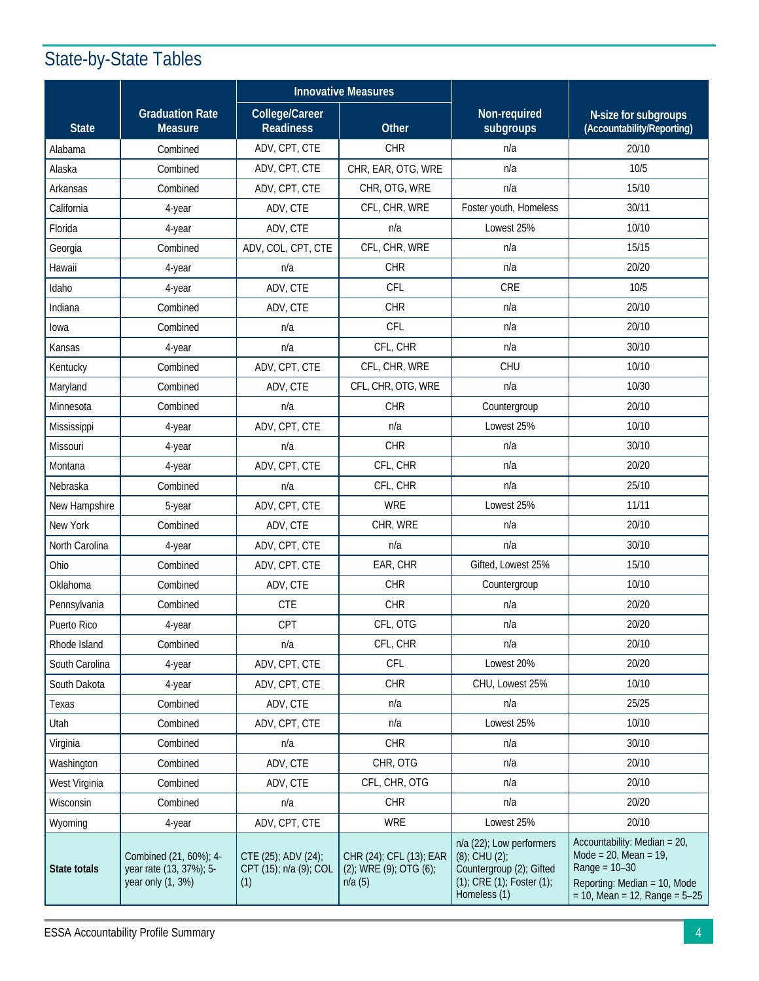## State-by-State Tables

|                |                                                                        | <b>Innovative Measures</b>                           |                                                                      |                                                                                                                                   |                                                                                                                                                         |
|----------------|------------------------------------------------------------------------|------------------------------------------------------|----------------------------------------------------------------------|-----------------------------------------------------------------------------------------------------------------------------------|---------------------------------------------------------------------------------------------------------------------------------------------------------|
| <b>State</b>   | <b>Graduation Rate</b><br><b>Measure</b>                               | College/Career<br><b>Readiness</b>                   | <b>Other</b>                                                         | Non-required<br>subgroups                                                                                                         | N-size for subgroups<br>(Accountability/Reporting)                                                                                                      |
| Alabama        | Combined                                                               | ADV, CPT, CTE                                        | <b>CHR</b>                                                           | n/a                                                                                                                               | 20/10                                                                                                                                                   |
| Alaska         | Combined                                                               | ADV, CPT, CTE                                        | CHR, EAR, OTG, WRE                                                   | n/a                                                                                                                               | 10/5                                                                                                                                                    |
| Arkansas       | Combined                                                               | ADV, CPT, CTE                                        | CHR, OTG, WRE                                                        | n/a                                                                                                                               | 15/10                                                                                                                                                   |
| California     | 4-year                                                                 | ADV, CTE                                             | CFL, CHR, WRE                                                        | Foster youth, Homeless                                                                                                            | 30/11                                                                                                                                                   |
| Florida        | 4-year                                                                 | ADV, CTE                                             | n/a                                                                  | Lowest 25%                                                                                                                        | 10/10                                                                                                                                                   |
| Georgia        | Combined                                                               | ADV, COL, CPT, CTE                                   | CFL, CHR, WRE                                                        | n/a                                                                                                                               | 15/15                                                                                                                                                   |
| Hawaii         | 4-year                                                                 | n/a                                                  | <b>CHR</b>                                                           | n/a                                                                                                                               | 20/20                                                                                                                                                   |
| Idaho          | 4-year                                                                 | ADV, CTE                                             | CFL                                                                  | CRE                                                                                                                               | 10/5                                                                                                                                                    |
| Indiana        | Combined                                                               | ADV, CTE                                             | <b>CHR</b>                                                           | n/a                                                                                                                               | 20/10                                                                                                                                                   |
| lowa           | Combined                                                               | n/a                                                  | CFL                                                                  | n/a                                                                                                                               | 20/10                                                                                                                                                   |
| Kansas         | 4-year                                                                 | n/a                                                  | CFL, CHR                                                             | n/a                                                                                                                               | 30/10                                                                                                                                                   |
| Kentucky       | Combined                                                               | ADV, CPT, CTE                                        | CFL, CHR, WRE                                                        | <b>CHU</b>                                                                                                                        | 10/10                                                                                                                                                   |
| Maryland       | Combined                                                               | ADV, CTE                                             | CFL, CHR, OTG, WRE                                                   | n/a                                                                                                                               | 10/30                                                                                                                                                   |
| Minnesota      | Combined                                                               | n/a                                                  | <b>CHR</b>                                                           | Countergroup                                                                                                                      | 20/10                                                                                                                                                   |
| Mississippi    | 4-year                                                                 | ADV, CPT, CTE                                        | n/a                                                                  | Lowest 25%                                                                                                                        | 10/10                                                                                                                                                   |
| Missouri       | 4-year                                                                 | n/a                                                  | <b>CHR</b>                                                           | n/a                                                                                                                               | 30/10                                                                                                                                                   |
| Montana        | 4-year                                                                 | ADV, CPT, CTE                                        | CFL, CHR                                                             | n/a                                                                                                                               | 20/20                                                                                                                                                   |
| Nebraska       | Combined                                                               | n/a                                                  | CFL, CHR                                                             | n/a                                                                                                                               | 25/10                                                                                                                                                   |
| New Hampshire  | 5-year                                                                 | ADV, CPT, CTE                                        | <b>WRE</b>                                                           | Lowest 25%                                                                                                                        | 11/11                                                                                                                                                   |
| New York       | Combined                                                               | ADV, CTE                                             | CHR, WRE                                                             | n/a                                                                                                                               | 20/10                                                                                                                                                   |
| North Carolina | 4-year                                                                 | ADV, CPT, CTE                                        | n/a                                                                  | n/a                                                                                                                               | 30/10                                                                                                                                                   |
| Ohio           | Combined                                                               | ADV, CPT, CTE                                        | EAR, CHR                                                             | Gifted, Lowest 25%                                                                                                                | 15/10                                                                                                                                                   |
| Oklahoma       | Combined                                                               | ADV, CTE                                             | <b>CHR</b>                                                           | Countergroup                                                                                                                      | 10/10                                                                                                                                                   |
| Pennsylvania   | Combined                                                               | <b>CTE</b>                                           | <b>CHR</b>                                                           | n/a                                                                                                                               | 20/20                                                                                                                                                   |
| Puerto Rico    | 4-year                                                                 | CPT                                                  | CFL, OTG                                                             | n/a                                                                                                                               | 20/20                                                                                                                                                   |
| Rhode Island   | Combined                                                               | n/a                                                  | CFL, CHR                                                             | n/a                                                                                                                               | 20/10                                                                                                                                                   |
| South Carolina | 4-year                                                                 | ADV, CPT, CTE                                        | CFL                                                                  | Lowest 20%                                                                                                                        | 20/20                                                                                                                                                   |
| South Dakota   | 4-year                                                                 | ADV, CPT, CTE                                        | CHR                                                                  | CHU, Lowest 25%                                                                                                                   | 10/10                                                                                                                                                   |
| Texas          | Combined                                                               | ADV, CTE                                             | n/a                                                                  | n/a                                                                                                                               | 25/25                                                                                                                                                   |
| Utah           | Combined                                                               | ADV, CPT, CTE                                        | n/a                                                                  | Lowest 25%                                                                                                                        | 10/10                                                                                                                                                   |
| Virginia       | Combined                                                               | n/a                                                  | CHR                                                                  | n/a                                                                                                                               | 30/10                                                                                                                                                   |
| Washington     | Combined                                                               | ADV, CTE                                             | CHR, OTG                                                             | n/a                                                                                                                               | 20/10                                                                                                                                                   |
| West Virginia  | Combined                                                               | ADV, CTE                                             | CFL, CHR, OTG                                                        | n/a                                                                                                                               | 20/10                                                                                                                                                   |
| Wisconsin      | Combined                                                               | n/a                                                  | CHR                                                                  | n/a                                                                                                                               | 20/20                                                                                                                                                   |
| Wyoming        | 4-year                                                                 | ADV, CPT, CTE                                        | <b>WRE</b>                                                           | Lowest 25%                                                                                                                        | 20/10                                                                                                                                                   |
| State totals   | Combined (21, 60%); 4-<br>year rate (13, 37%); 5-<br>year only (1, 3%) | CTE (25); ADV (24);<br>CPT (15); n/a (9); COL<br>(1) | CHR (24); CFL (13); EAR<br>$(2)$ ; WRE $(9)$ ; OTG $(6)$ ;<br>n/a(5) | n/a (22); Low performers<br>$(8)$ ; CHU $(2)$ ;<br>Countergroup (2); Gifted<br>$(1)$ ; CRE $(1)$ ; Foster $(1)$ ;<br>Homeless (1) | Accountability: Median = 20,<br>Mode = $20$ , Mean = $19$ ,<br>Range = $10-30$<br>Reporting: Median = 10, Mode<br>$= 10$ , Mean $= 12$ , Range $= 5-25$ |